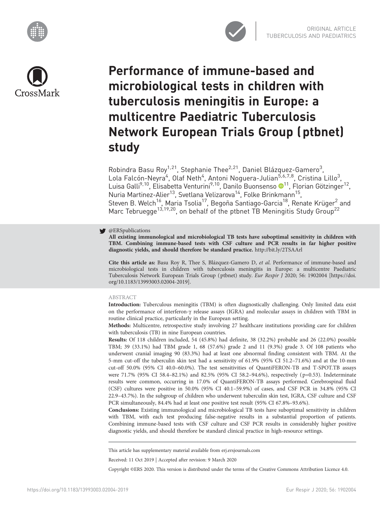





# Performance of immune-based and microbiological tests in children with tuberculosis meningitis in Europe: a multicentre Paediatric Tuberculosis Network European Trials Group (ptbnet) study

Robindra Basu Roy<sup>1,21</sup>, Stephanie Thee<sup>2,21</sup>, Daniel Blázquez-Gamero<sup>3</sup>, Lola Falcón-Neyra<sup>4</sup>, Olaf Neth<sup>4</sup>, Antoni Noguera-Julian<sup>5,6,7,8</sup>, Cristina Lillo<sup>3</sup>, Luisa Galli<sup>9,[1](https://orcid.org/0000-0001-8567-2639)0</sup>, Elisabetta Venturini<sup>9,10</sup>, Danilo Buonsenso ®<sup>11</sup>, Florian Götzinger<sup>12</sup>, Nuria Martinez-Alier<sup>13</sup>, Svetlana Velizarova<sup>14</sup>, Folke Brinkmann<sup>15</sup>, Steven B. Welch<sup>16</sup>, Maria Tsolia<sup>17</sup>, Begoña Santiago-Garcia<sup>18</sup>, Renate Krüger<sup>2</sup> and Marc Tebruegge<sup>13,19,20</sup>, on behalf of the ptbnet TB Meningitis Study Group<sup>22</sup>

# **S** @ERSpublications

All existing immunological and microbiological TB tests have suboptimal sensitivity in children with TBM. Combining immune-based tests with CSF culture and PCR results in far higher positive diagnostic yields, and should therefore be standard practice. <http://bit.ly/2TSAArl>

Cite this article as: Basu Roy R, Thee S, Blázquez-Gamero D, et al. Performance of immune-based and microbiological tests in children with tuberculosis meningitis in Europe: a multicentre Paediatric Tuberculosis Network European Trials Group ( ptbnet) study. Eur Respir J 2020; 56: 1902004 [\[https://doi.](https://doi.org/10.1183/13993003.02004-2019) [org/10.1183/13993003.02004-2019\].](https://doi.org/10.1183/13993003.02004-2019)

# ABSTRACT

Introduction: Tuberculous meningitis (TBM) is often diagnostically challenging. Only limited data exist on the performance of interferon-γ release assays (IGRA) and molecular assays in children with TBM in routine clinical practice, particularly in the European setting.

Methods: Multicentre, retrospective study involving 27 healthcare institutions providing care for children with tuberculosis (TB) in nine European countries.

Results: Of 118 children included, 54 (45.8%) had definite, 38 (32.2%) probable and 26 (22.0%) possible TBM; 39 (33.1%) had TBM grade 1, 68 (57.6%) grade 2 and 11 (9.3%) grade 3. Of 108 patients who underwent cranial imaging 90 (83.3%) had at least one abnormal finding consistent with TBM. At the 5-mm cut-off the tuberculin skin test had a sensitivity of 61.9% (95% CI 51.2–71.6%) and at the 10-mm cut-off 50.0% (95% CI 40.0–60.0%). The test sensitivities of QuantiFERON-TB and T-SPOT.TB assays were 71.7% (95% CI 58.4–82.1%) and 82.5% (95% CI 58.2–94.6%), respectively ( p=0.53). Indeterminate results were common, occurring in 17.0% of QuantiFERON-TB assays performed. Cerebrospinal fluid (CSF) cultures were positive in 50.0% (95% CI 40.1–59.9%) of cases, and CSF PCR in 34.8% (95% CI 22.9–43.7%). In the subgroup of children who underwent tuberculin skin test, IGRA, CSF culture and CSF PCR simultaneously, 84.4% had at least one positive test result (95% CI 67.8%–93.6%).

Conclusions: Existing immunological and microbiological TB tests have suboptimal sensitivity in children with TBM, with each test producing false-negative results in a substantial proportion of patients. Combining immune-based tests with CSF culture and CSF PCR results in considerably higher positive diagnostic yields, and should therefore be standard clinical practice in high-resource settings.

This article has supplementary material available from<erj.ersjournals.com>

Received: 11 Oct 2019 | Accepted after revision: 9 March 2020

Copyright ©ERS 2020. This version is distributed under the terms of the Creative Commons Attribution Licence 4.0.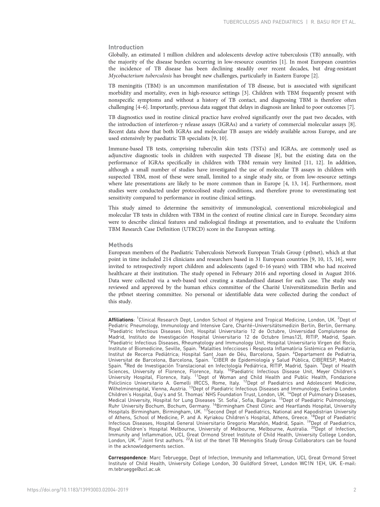# Introduction

Globally, an estimated 1 million children and adolescents develop active tuberculosis (TB) annually, with the majority of the disease burden occurring in low-resource countries [\[1](#page-9-0)]. In most European countries the incidence of TB disease has been declining steadily over recent decades, but drug-resistant Mycobacterium tuberculosis has brought new challenges, particularly in Eastern Europe [\[2](#page-9-0)].

TB meningitis (TBM) is an uncommon manifestation of TB disease, but is associated with significant morbidity and mortality, even in high-resource settings [\[3\]](#page-9-0). Children with TBM frequently present with nonspecific symptoms and without a history of TB contact, and diagnosing TBM is therefore often challenging [[4](#page-9-0)–[6](#page-10-0)]. Importantly, previous data suggest that delays in diagnosis are linked to poor outcomes [[7\]](#page-10-0).

TB diagnostics used in routine clinical practice have evolved significantly over the past two decades, with the introduction of interferon-γ release assays (IGRAs) and a variety of commercial molecular assays [\[8](#page-10-0)]. Recent data show that both IGRAs and molecular TB assays are widely available across Europe, and are used extensively by paediatric TB specialists [[9, 10](#page-10-0)].

Immune-based TB tests, comprising tuberculin skin tests (TSTs) and IGRAs, are commonly used as adjunctive diagnostic tools in children with suspected TB disease [\[8\]](#page-10-0), but the existing data on the performance of IGRAs specifically in children with TBM remain very limited [[11](#page-10-0), [12\]](#page-10-0). In addition, although a small number of studies have investigated the use of molecular TB assays in children with suspected TBM, most of these were small, limited to a single study site, or from low-resource settings where late presentations are likely to be more common than in Europe [[4](#page-9-0), [13, 14](#page-10-0)]. Furthermore, most studies were conducted under protocolised study conditions, and therefore prone to overestimating test sensitivity compared to performance in routine clinical settings.

This study aimed to determine the sensitivity of immunological, conventional microbiological and molecular TB tests in children with TBM in the context of routine clinical care in Europe. Secondary aims were to describe clinical features and radiological findings at presentation, and to evaluate the Uniform TBM Research Case Definition (UTRCD) score in the European setting.

## Methods

European members of the Paediatric Tuberculosis Network European Trials Group ( ptbnet), which at that point in time included 214 clinicians and researchers based in 31 European countries [[9](#page-10-0), [10, 15](#page-10-0), [16\]](#page-10-0), were invited to retrospectively report children and adolescents (aged 0–16 years) with TBM who had received healthcare at their institution. The study opened in February 2016 and reporting closed in August 2016. Data were collected via a web-based tool creating a standardised dataset for each case. The study was reviewed and approved by the human ethics committee of the Charité Universitätsmedizin Berlin and the ptbnet steering committee. No personal or identifiable data were collected during the conduct of this study.

**Affiliations**: <sup>1</sup>Clinical Research Dept, London School of Hygiene and Tropical Medicine, London, UK. <sup>2</sup>Dept of Pediatric Pneumology, Immunology and Intensive Care, Charité–Universitätsmedizin Berlin, Berlin, Germany. <sup>3</sup> <sup>3</sup>Paediatric Infectious Diseases Unit, Hospital Universitario 12 de Octubre, Universidad Complutense de Madrid, Instituto de Investigación Hospital Universitario 12 de Octubre (imas12), RITIP, Madrid, Spain. 4 Paediatric Infectious Diseases, Rheumatology and Immunology Unit, Hospital Universitario Virgen del Rocío, Institute of Biomedicine, Seville, Spain. <sup>5</sup>Malalties Infeccioses i Resposta Inflamatòria Sistèmica en Pediatria,<br>Institut de Recerca Pediàtrica; Hospital Sant Joan de Déu, Barcelona, Spain. <sup>6</sup>Departament de Pediatria, Universitat de Barcelona, Barcelona, Spain. <sup>7</sup>CIBER de Epidemiología y Salud Pública, CIBERESP, Madrid, Spain. <sup>8</sup>Red de Investigación Translacional en Infectología Pediátrica, RITIP, Madrid, Spain. <sup>9</sup>Dept of Health<br>Sciences, University of Florence, Florence, Italy. <sup>10</sup>Paediatric Infectious Disease Unit, Meyer Children's University Hospital, Florence, Italy. <sup>11</sup>Dept of Woman and Child Health and Public Health, Fondazione Policlinico Universitario A. Gemelli IRCCS, Rome, Italy. <sup>12</sup>Dept of Paediatrics and Adolescent Medicine, Wilhelminenspital, Vienna, Austria. 13Dept of Paediatric Infectious Diseases and Immunology, Evelina London Children's Hospital, Guy's and St. Thomas' NHS Foundation Trust, London, UK. <sup>14</sup>Dept of Pulmonary Diseases, Medical University, Hospital for Lung Diseases 'St. Sofia', Sofia, Bulgaria. 15Dept of Paediatric Pulmonology, Ruhr University Bochum, Bochum, Germany. <sup>16</sup>Birmingham Chest Clinic and Heartlands Hospital, University Hospitals Birmingham, Birmingham, UK. <sup>17</sup>Second Dept of Paediatrics, National and Kapodistrian University of Athens, School of Medicine, P. and A. Kyriakou Children's Hospital, Athens, Greece. <sup>18</sup>Dept of Paediatric Infectious Diseases, Hospital General Universitario Gregorio Marañón, Madrid, Spain. <sup>19</sup>Dept of Paediatrics, Royal Children's Hospital Melbourne, University of Melbourne, Melbourne, Australia. 20Dept of Infection, Immunity and Inflammation, UCL Great Ormond Street Institute of Child Health, University College London, London, UK. <sup>21</sup> Joint first authors. <sup>22</sup>A list of the tbnet TB Meningitis Study Group Collaborators can be found in the acknowledgements section.

Correspondence: Marc Tebruegge, Dept of Infection, Immunity and Inflammation, UCL Great Ormond Street Institute of Child Health, University College London, 30 Guildford Street, London WC1N 1EH, UK. E-mail: [m.tebruegge@ucl.ac.uk](mailto:m.�tebruegge@ucl.ac.uk)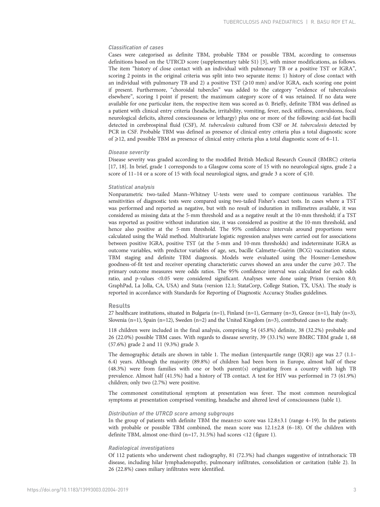# Classification of cases

Cases were categorised as definite TBM, probable TBM or possible TBM, according to consensus definitions based on the UTRCD score ([supplementary table S1](http://erj.ersjournals.com/lookup/doi/10.1183/13993003.02004-2019.figures-only#fig-data-supplementary-materials)) [\[3\]](#page-9-0), with minor modifications, as follows. The item "history of close contact with an individual with pulmonary TB or a positive TST or IGRA", scoring 2 points in the original criteria was split into two separate items: 1) history of close contact with an individual with pulmonary TB and 2) a positive TST  $(\geq 10 \text{ mm})$  and/or IGRA, each scoring one point if present. Furthermore, "choroidal tubercles" was added to the category "evidence of tuberculosis elsewhere", scoring 1 point if present; the maximum category score of 4 was retained. If no data were available for one particular item, the respective item was scored as 0. Briefly, definite TBM was defined as a patient with clinical entry criteria (headache, irritability, vomiting, fever, neck stiffness, convulsions, focal neurological deficits, altered consciousness or lethargy) plus one or more of the following: acid-fast bacilli detected in cerebrospinal fluid (CSF), M. tuberculosis cultured from CSF or M. tuberculosis detected by PCR in CSF. Probable TBM was defined as presence of clinical entry criteria plus a total diagnostic score of  $\geq$ 12, and possible TBM as presence of clinical entry criteria plus a total diagnostic score of 6–11.

## Disease severity

Disease severity was graded according to the modified British Medical Research Council (BMRC) criteria [\[17, 18](#page-10-0)]. In brief, grade 1 corresponds to a Glasgow coma score of 15 with no neurological signs, grade 2 a score of 11–14 or a score of 15 with focal neurological signs, and grade 3 a score of  $\leq 10$ .

## Statistical analysis

Nonparametric two-tailed Mann–Whitney U-tests were used to compare continuous variables. The sensitivities of diagnostic tests were compared using two-tailed Fisher's exact tests. In cases where a TST was performed and reported as negative, but with no result of induration in millimetres available, it was considered as missing data at the 5-mm threshold and as a negative result at the 10-mm threshold; if a TST was reported as positive without induration size, it was considered as positive at the 10-mm threshold, and hence also positive at the 5-mm threshold. The 95% confidence intervals around proportions were calculated using the Wald method. Multivariate logistic regression analyses were carried out for associations between positive IGRA, positive TST (at the 5-mm and 10-mm thresholds) and indeterminate IGRA as outcome variables, with predictor variables of age, sex, bacille Calmette–Guérin (BCG) vaccination status, TBM staging and definite TBM diagnosis. Models were evaluated using the Hosmer–Lemeshow goodness-of-fit test and receiver operating characteristic curves showed an area under the curve  $\geq 0.7$ . The primary outcome measures were odds ratios. The 95% confidence interval was calculated for each odds ratio, and p-values <0.05 were considered significant. Analyses were done using Prism (version 8.0; GraphPad, La Jolla, CA, USA) and Stata (version 12.1; StataCorp, College Station, TX, USA). The study is reported in accordance with Standards for Reporting of Diagnostic Accuracy Studies guidelines.

## Results

27 healthcare institutions, situated in Bulgaria (n=1), Finland (n=1), Germany (n=3), Greece (n=1), Italy (n=3), Slovenia (n=1), Spain (n=12), Sweden (n=2) and the United Kingdom (n=3), contributed cases to the study.

118 children were included in the final analysis, comprising 54 (45.8%) definite, 38 (32.2%) probable and 26 (22.0%) possible TBM cases. With regards to disease severity, 39 (33.1%) were BMRC TBM grade 1, 68 (57.6%) grade 2 and 11 (9.3%) grade 3.

The demographic details are shown in [table 1](#page-3-0). The median (interquartile range (IQR)) age was 2.7 (1.1– 6.4) years. Although the majority (89.8%) of children had been born in Europe, almost half of these (48.3%) were from families with one or both parent(s) originating from a country with high TB prevalence. Almost half (41.5%) had a history of TB contact. A test for HIV was performed in 73 (61.9%) children; only two (2.7%) were positive.

The commonest constitutional symptom at presentation was fever. The most common neurological symptoms at presentation comprised vomiting, headache and altered level of consciousness [\(table 1](#page-3-0)).

## Distribution of the UTRCD score among subgroups

In the group of patients with definite TBM the mean±SD score was 12.8±3.1 (range 4–19). In the patients with probable or possible TBM combined, the mean score was 12.1±2.8 (6–18). Of the children with definite TBM, almost one-third (n=17, 31.5%) had scores <12 [\(figure 1](#page-3-0)).

#### Radiological investigations

Of 112 patients who underwent chest radiography, 81 (72.3%) had changes suggestive of intrathoracic TB disease, including hilar lymphadenopathy, pulmonary infiltrates, consolidation or cavitation ([table 2\)](#page-4-0). In 26 (22.8%) cases miliary infiltrates were identified.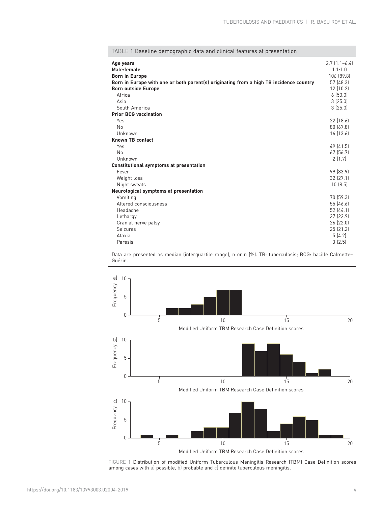| Age years<br>Male:female<br><b>Born in Europe</b><br>Born in Europe with one or both parent(s) originating from a high TB incidence country<br><b>Born outside Europe</b> | $2.7$ $(1.1-6.4)$<br>1.1:1.0<br>106 (89.8)<br>57 (48.3)<br>12(10.2) |
|---------------------------------------------------------------------------------------------------------------------------------------------------------------------------|---------------------------------------------------------------------|
| Africa                                                                                                                                                                    | 6(50.0)                                                             |
| Asia                                                                                                                                                                      | 3(25.0)                                                             |
| South America                                                                                                                                                             | 3(25.0)                                                             |
| <b>Prior BCG vaccination</b>                                                                                                                                              |                                                                     |
| Yes                                                                                                                                                                       | 22 (18.6)                                                           |
| <b>No</b>                                                                                                                                                                 | 80 (67.8)                                                           |
| Unknown                                                                                                                                                                   | 16 (13.6)                                                           |
| <b>Known TB contact</b>                                                                                                                                                   |                                                                     |
| Yes                                                                                                                                                                       | 49 (41.5)                                                           |
| <b>No</b>                                                                                                                                                                 | 67 (56.7)                                                           |
| Unknown                                                                                                                                                                   | 2(1.7)                                                              |
| <b>Constitutional symptoms at presentation</b>                                                                                                                            |                                                                     |
| Fever                                                                                                                                                                     | 99 (83.9)                                                           |
| Weight loss                                                                                                                                                               | 32 (27.1)                                                           |
| Night sweats                                                                                                                                                              | 10(8.5)                                                             |
| Neurological symptoms at presentation                                                                                                                                     |                                                                     |
| Vomiting                                                                                                                                                                  | 70 (59.3)                                                           |
| Altered consciousness                                                                                                                                                     | 55 (46.6)                                                           |
| Headache                                                                                                                                                                  | 52 (44.1)                                                           |
| Lethargy                                                                                                                                                                  | 27 (22.9)                                                           |
| Cranial nerve palsy                                                                                                                                                       | 26(22.0)                                                            |
| <b>Seizures</b>                                                                                                                                                           | 25(21.2)                                                            |
| Ataxia                                                                                                                                                                    | 5(4.2)                                                              |
| Paresis                                                                                                                                                                   | 3(2.5)                                                              |

<span id="page-3-0"></span>TABLE 1 Baseline demographic data and clinical features at presentation

Data are presented as median (interquartile range), n or n (%). TB: tuberculosis; BCG: bacille Calmette– Guérin.



FIGURE 1 Distribution of modified Uniform Tuberculous Meningitis Research (TBM) Case Definition scores among cases with a) possible, b) probable and c) definite tuberculous meningitis.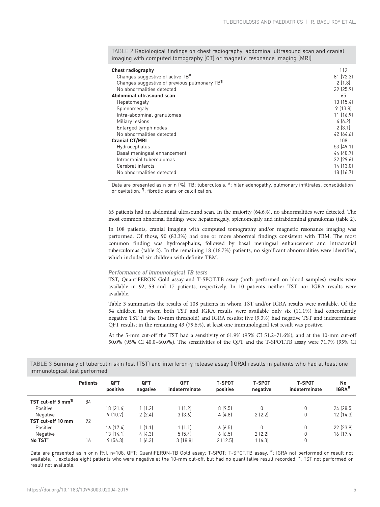<span id="page-4-0"></span>TABLE 2 Radiological findings on chest radiography, abdominal ultrasound scan and cranial imaging with computed tomography (CT) or magnetic resonance imaging (MRI)

| <b>Chest radiography</b>                                  | 112       |
|-----------------------------------------------------------|-----------|
| Changes suggestive of active TB <sup>#</sup>              | 81 (72.3) |
| Changes suggestive of previous pulmonary TB <sup>11</sup> | 2 [1.8]   |
| No abnormalities detected                                 | 29 (25.9) |
| Abdominal ultrasound scan                                 | 65        |
| Hepatomegaly                                              | 10(15.4)  |
| Splenomegaly                                              | 9(13.8)   |
| Intra-abdominal granulomas                                | 11 (16.9) |
| Miliary lesions                                           | 4(6.2)    |
| Enlarged lymph nodes                                      | 2(3.1)    |
| No abnormalities detected                                 | 42[64.6]  |
| <b>Cranial CT/MRI</b>                                     | 108       |
| Hydrocephalus                                             | 53 (49.1) |
| Basal meningeal enhancement                               | 44 (40.7) |
| Intracranial tuberculomas                                 | 32[29.6]  |
| Cerebral infarcts                                         | 14(13.0)  |
| No abnormalities detected                                 | 18 (16.7) |

Data are presented as n or n (%). TB: tuberculosis. #: hilar adenopathy, pulmonary infiltrates, consolidation or cavitation; <sup>1</sup> fibrotic scars or calcification.

65 patients had an abdominal ultrasound scan. In the majority (64.6%), no abnormalities were detected. The most common abnormal findings were hepatomegaly, splenomegaly and intrabdominal granulomas (table 2).

In 108 patients, cranial imaging with computed tomography and/or magnetic resonance imaging was performed. Of those, 90 (83.3%) had one or more abnormal findings consistent with TBM. The most common finding was hydrocephalus, followed by basal meningeal enhancement and intracranial tuberculomas (table 2). In the remaining 18 (16.7%) patients, no significant abnormalities were identified, which included six children with definite TBM.

# Performance of immunological TB tests

TST, QuantiFERON Gold assay and T-SPOT.TB assay (both performed on blood samples) results were available in 92, 53 and 17 patients, respectively. In 10 patients neither TST nor IGRA results were available.

Table 3 summarises the results of 108 patients in whom TST and/or IGRA results were available. Of the 54 children in whom both TST and IGRA results were available only six (11.1%) had concordantly negative TST (at the 10-mm threshold) and IGRA results; five (9.3%) had negative TST and indeterminate QFT results; in the remaining 43 (79.6%), at least one immunological test result was positive.

At the 5-mm cut-off the TST had a sensitivity of 61.9% (95% CI 51.2–71.6%), and at the 10-mm cut-off 50.0% (95% CI 40.0–60.0%). The sensitivities of the QFT and the T-SPOT.TB assay were 71.7% (95% CI

TABLE 3 Summary of tuberculin skin test (TST) and interferon-γ release assay (IGRA) results in patients who had at least one immunological test performed

|                                | <b>Patients</b> | <b>QFT</b><br>positive | <b>QFT</b><br>negative | <b>QFT</b><br>indeterminate | <b>T-SPOT</b><br>positive | <b>T-SPOT</b><br>negative | <b>T-SPOT</b><br>indeterminate | No<br>IGRA <sup>#</sup> |
|--------------------------------|-----------------|------------------------|------------------------|-----------------------------|---------------------------|---------------------------|--------------------------------|-------------------------|
| TST cut-off 5 mm <sup>11</sup> | 84              |                        |                        |                             |                           |                           |                                |                         |
| Positive                       |                 | 18 (21.4)              | 1 (1.2)                | 1 [1, 2]                    | 8(9.5)                    | 0                         | 0                              | 24 (28.5)               |
| Negative                       |                 | 9(10.7)                | 2(2.4)                 | 3(3.6)                      | 4(4.8)                    | 2(2.2)                    | 0                              | 12(14.3)                |
| TST cut-off 10 mm              | 92              |                        |                        |                             |                           |                           |                                |                         |
| Positive                       |                 | 16 (17.4)              | 1(1.1)                 | 1(1.1)                      | 6(6.5)                    | 0                         | 0                              | 22 (23.9)               |
| Negative                       |                 | 13 (14.1)              | 4(4.3)                 | 5(5.4)                      | 6(6.5)                    | 2(2.2)                    | 0                              | 16(17.4)                |
| No TST <sup>+</sup>            | 16              | 9(56.3)                | 1(6.3)                 | 3(18.8)                     | 2(12.5)                   | 1(6.3)                    | 0                              |                         |

Data are presented as n or n (%). n=108. QFT: QuantiFERON-TB Gold assay; T-SPOT: T-SPOT.TB assay. #: IGRA not performed or result not available; <sup>1</sup>): excludes eight patients who were negative at the 10-mm cut-off, but had no quantitative result recorded; \*: TST not performed or result not available.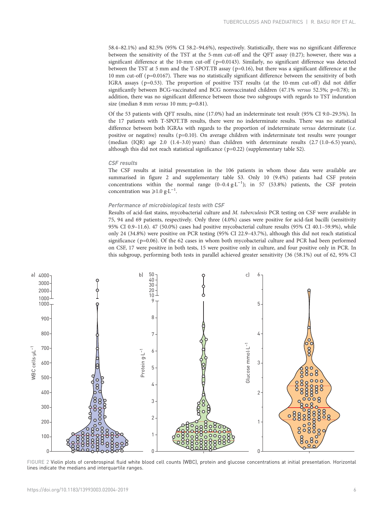58.4–82.1%) and 82.5% (95% CI 58.2–94.6%), respectively. Statistically, there was no significant difference between the sensitivity of the TST at the 5-mm cut-off and the QFT assay (0.27); however, there was a significant difference at the 10-mm cut-off (p=0.0143). Similarly, no significant difference was detected between the TST at 5 mm and the T-SPOT.TB assay (p=0.16), but there was a significant difference at the 10 mm cut-off ( p=0.0167). There was no statistically significant difference between the sensitivity of both IGRA assays ( $p=0.53$ ). The proportion of positive TST results (at the 10-mm cut-off) did not differ significantly between BCG-vaccinated and BCG nonvaccinated children (47.1% versus 52.5%; p=0.78); in addition, there was no significant difference between those two subgroups with regards to TST induration size (median 8 mm versus 10 mm; p=0.81).

Of the 53 patients with QFT results, nine (17.0%) had an indeterminate test result (95% CI 9.0–29.5%). In the 17 patients with T-SPOT.TB results, there were no indeterminate results. There was no statistical difference between both IGRAs with regards to the proportion of indeterminate versus determinate (i.e. positive or negative) results ( p=0.10). On average children with indeterminate test results were younger (median (IQR) age 2.0 (1.4–3.0) years) than children with determinate results (2.7 (1.0–6.5) years), although this did not reach statistical significance ( p=0.22) [\(supplementary table S2](http://erj.ersjournals.com/lookup/doi/10.1183/13993003.02004-2019.figures-only#fig-data-supplementary-materials)).

#### CSF results

The CSF results at initial presentation in the 106 patients in whom those data were available are summarised in figure 2 and [supplementary table S3](http://erj.ersjournals.com/lookup/doi/10.1183/13993003.02004-2019.figures-only#fig-data-supplementary-materials). Only 10 (9.4%) patients had CSF protein concentrations within the normal range  $(0-0.4 \text{ g} \cdot L^{-1})$ ; in 57 (53.8%) patients, the CSF protein concentration was  $\geq 1.0$  g⋅L<sup>-1</sup>.

## Performance of microbiological tests with CSF

Results of acid-fast stains, mycobacterial culture and M. tuberculosis PCR testing on CSF were available in 75, 94 and 69 patients, respectively. Only three (4.0%) cases were positive for acid-fast bacilli (sensitivity 95% CI 0.9–11.6). 47 (50.0%) cases had positive mycobacterial culture results (95% CI 40.1–59.9%), while only 24 (34.8%) were positive on PCR testing (95% CI 22.9–43.7%), although this did not reach statistical significance ( $p=0.06$ ). Of the 62 cases in whom both mycobacterial culture and PCR had been performed on CSF, 17 were positive in both tests, 15 were positive only in culture, and four positive only in PCR. In this subgroup, performing both tests in parallel achieved greater sensitivity (36 (58.1%) out of 62, 95% CI



FIGURE 2 Violin plots of cerebrospinal fluid white blood cell counts (WBC), protein and glucose concentrations at initial presentation. Horizontal lines indicate the medians and interquartile ranges.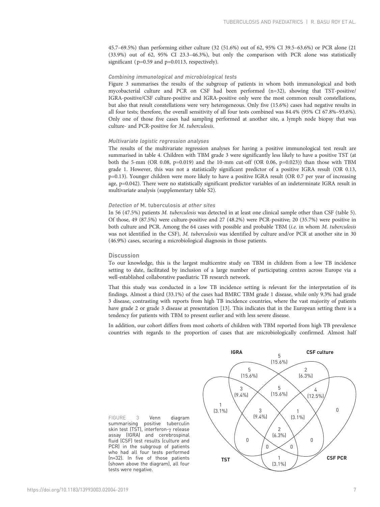45.7–69.5%) than performing either culture (32 (51.6%) out of 62, 95% CI 39.5–63.6%) or PCR alone (21 (33.9%) out of 62, 95% CI 23.3–46.3%), but only the comparison with PCR alone was statistically significant ( $p=0.59$  and  $p=0.0113$ , respectively).

# Combining immunological and microbiological tests

Figure 3 summarises the results of the subgroup of patients in whom both immunological and both mycobacterial culture and PCR on CSF had been performed (n=32), showing that TST-positive/ IGRA-positive/CSF culture-positive and IGRA-positive only were the most common result constellations, but also that result constellations were very heterogeneous. Only five (15.6%) cases had negative results in all four tests; therefore, the overall sensitivity of all four tests combined was 84.4% (95% CI 67.8%–93.6%). Only one of those five cases had sampling performed at another site, a lymph node biopsy that was culture- and PCR-positive for M. tuberculosis.

# Multivariate logistic regression analyses

The results of the multivariate regression analyses for having a positive immunological test result are summarised in [table 4](#page-7-0). Children with TBM grade 3 were significantly less likely to have a positive TST (at both the 5-mm (OR 0.08,  $p=0.019$ ) and the 10-mm cut-off (OR 0.06,  $p=0.023$ )) than those with TBM grade 1. However, this was not a statistically significant predictor of a positive IGRA result (OR 0.13, p=0.13). Younger children were more likely to have a positive IGRA result (OR 0.7 per year of increasing age, p=0.042). There were no statistically significant predictor variables of an indeterminate IGRA result in multivariate analysis ([supplementary table S2\)](http://erj.ersjournals.com/lookup/doi/10.1183/13993003.02004-2019.figures-only#fig-data-supplementary-materials).

# Detection of M. tuberculosis at other sites

In 56 (47.5%) patients M. tuberculosis was detected in at least one clinical sample other than CSF [\(table 5](#page-7-0)). Of those, 49 (87.5%) were culture-positive and 27 (48.2%) were PCR-positive; 20 (35.7%) were positive in both culture and PCR. Among the 64 cases with possible and probable TBM (i.e. in whom M. tuberculosis was not identified in the CSF), M. tuberculosis was identified by culture and/or PCR at another site in 30 (46.9%) cases, securing a microbiological diagnosis in those patients.

## **Discussion**

To our knowledge, this is the largest multicentre study on TBM in children from a low TB incidence setting to date, facilitated by inclusion of a large number of participating centres across Europe via a well-established collaborative paediatric TB research network.

That this study was conducted in a low TB incidence setting is relevant for the interpretation of its findings. Almost a third (33.1%) of the cases had BMRC TBM grade 1 disease, while only 9.3% had grade 3 disease, contrasting with reports from high TB incidence countries, where the vast majority of patients have grade 2 or grade 3 disease at presentation [\[13\]](#page-10-0). This indicates that in the European setting there is a tendency for patients with TBM to present earlier and with less severe disease.

In addition, our cohort differs from most cohorts of children with TBM reported from high TB prevalence countries with regards to the proportion of cases that are microbiologically confirmed. Almost half

FIGURE 3 Venn diagram summarising positive tuberculin skin test (TST), interferon-γ release assay (IGRA) and cerebrospinal fluid (CSF) test results (culture and PCR) in the subgroup of patients who had all four tests performed (n=32). In five of those patients (shown above the diagram), all four tests were negative.

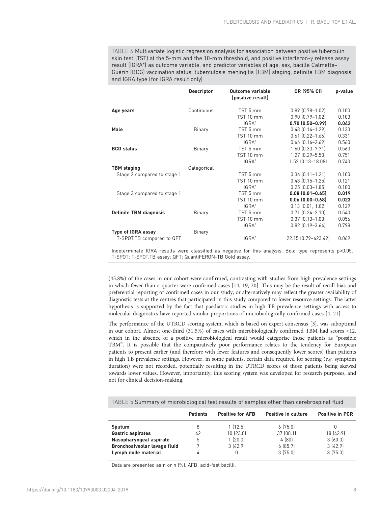<span id="page-7-0"></span>TABLE 4 Multivariate logistic regression analysis for association between positive tuberculin skin test (TST) at the 5-mm and the 10-mm threshold, and positive interferon-γ release assay result (IGRA<sup>+</sup>) as outcome variable, and predictor variables of age, sex, bacille Calmette-Guérin (BCG) vaccination status, tuberculosis meningitis (TBM) staging, definite TBM diagnosis and IGRA type (for IGRA result only)

|                               | <b>Descriptor</b> | Outcome variable<br>(positive result) | OR (95% CI)            | p-value |
|-------------------------------|-------------------|---------------------------------------|------------------------|---------|
| Age years                     | Continuous        | TST 5 mm                              | $0.89$ $(0.78 - 1.02)$ | 0.100   |
|                               |                   | TST 10 mm                             | $0.90$ $[0.79 - 1.02]$ | 0.103   |
|                               |                   | IGRA <sup>+</sup>                     | $0.70(0.50 - 0.99)$    | 0.042   |
| Male                          | Binary            | TST 5 mm                              | $0.43$ $[0.14 - 1.29]$ | 0.133   |
|                               |                   | TST 10 mm                             | $0.61$ $[0.22 - 1.66]$ | 0.331   |
|                               |                   | IGRA <sup>+</sup>                     | $0.66$ $[0.16 - 2.69]$ | 0.560   |
| <b>BCG</b> status             | Binary            | TST 5 mm                              | $1.60$ $[0.33 - 7.71]$ | 0.560   |
|                               |                   | TST 10 mm                             | $1.27$ $(0.29 - 5.50)$ | 0.751   |
|                               |                   | IGRA <sup>+</sup>                     | 1.52 (0.13-18.08)      | 0.740   |
| <b>TBM</b> staging            | Categorical       |                                       |                        |         |
| Stage 2 compared to stage 1   |                   | TST 5 mm                              | $0.36$ $[0.11 - 1.21]$ | 0.100   |
|                               |                   | TST 10 mm                             | $0.43$ $(0.15 - 1.25)$ | 0.121   |
|                               |                   | IGRA <sup>+</sup>                     | $0.25$ $[0.03 - 1.85]$ | 0.180   |
| Stage 3 compared to stage 1   |                   | TST 5 mm                              | $0.08$ $(0.01 - 0.65)$ | 0.019   |
|                               |                   | TST 10 mm                             | $0.06$ $(0.00 - 0.68)$ | 0.023   |
|                               |                   | IGRA <sup>+</sup>                     | $0.13$ $(0.01, 1.82)$  | 0.129   |
| <b>Definite TBM diagnosis</b> | Binary            | TST 5 mm                              | $0.71$ $[0.24 - 2.10]$ | 0.540   |
|                               |                   | TST 10 mm                             | $0.37$ $[0.13 - 1.03]$ | 0.056   |
|                               |                   | IGRA <sup>+</sup>                     | $0.82$ $[0.19 - 3.64]$ | 0.798   |
| <b>Type of IGRA assay</b>     | Binary            |                                       |                        |         |
| T-SPOT.TB compared to QFT     |                   | IGRA <sup>+</sup>                     | 22.15 (0.79-623.49)    | 0.069   |

Indeterminate IGRA results were classified as negative for this analysis. Bold type represents p<0.05. T-SPOT: T-SPOT.TB assay; QFT: QuantiFERON-TB Gold assay.

(45.8%) of the cases in our cohort were confirmed, contrasting with studies from high prevalence settings in which fewer than a quarter were confirmed cases [\[14](#page-10-0), [19, 20](#page-10-0)]. This may be the result of recall bias and preferential reporting of confirmed cases in our study, or alternatively may reflect the greater availability of diagnostic tests at the centres that participated in this study compared to lower resource settings. The latter hypothesis is supported by the fact that paediatric studies in high TB prevalence settings with access to molecular diagnostics have reported similar proportions of microbiologically confirmed cases [\[4,](#page-9-0) [21\]](#page-10-0).

The performance of the UTRCD scoring system, which is based on expert consensus [\[3\]](#page-9-0), was suboptimal in our cohort. Almost one-third (31.5%) of cases with microbiologically confirmed TBM had scores <12, which in the absence of a positive microbiological result would categorise those patients as "possible TBM". It is possible that the comparatively poor performance relates to the tendency for European patients to present earlier (and therefore with fewer features and consequently lower scores) than patients in high TB prevalence settings. However, in some patients, certain data required for scoring ( $e.g.$  symptom duration) were not recorded, potentially resulting in the UTRCD scores of those patients being skewed towards lower values. However, importantly, this scoring system was developed for research purposes, and not for clinical decision-making.

TABLE 5 Summary of microbiological test results of samples other than cerebrospinal fluid

|                              | <b>Patients</b> | <b>Positive for AFB</b> | Positive in culture | <b>Positive in PCR</b> |
|------------------------------|-----------------|-------------------------|---------------------|------------------------|
| Sputum                       |                 | 1(12.5)                 | 6(75.0)             |                        |
| <b>Gastric aspirates</b>     | 42              | 10(23.8)                | 37 (88.1)           | 18 (42.9)              |
| Nasopharyngeal aspirate      | 5               | 1(20.0)                 | 4(80)               | 3(60.0)                |
| Bronchoalveolar lavage fluid |                 | 3(42.9)                 | 6[85.7]             | 3(42.9)                |
| Lymph node material          |                 |                         | 3(75.0)             | 3(75.0)                |

Data are presented as n or n (%). AFB: acid-fast bacilli.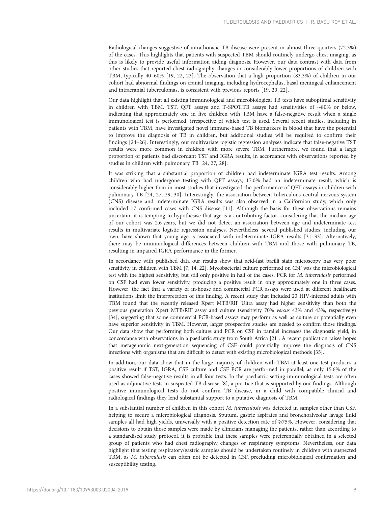Radiological changes suggestive of intrathoracic TB disease were present in almost three-quarters (72.3%) of the cases. This highlights that patients with suspected TBM should routinely undergo chest imaging, as this is likely to provide useful information aiding diagnosis. However, our data contrast with data from other studies that reported chest radiography changes in considerably lower proportions of children with TBM, typically 40–60% [[19](#page-10-0), [22](#page-10-0), [23\]](#page-10-0). The observation that a high proportion (83.3%) of children in our cohort had abnormal findings on cranial imaging, including hydrocephalus, basal meningeal enhancement and intracranial tuberculomas, is consistent with previous reports [[19](#page-10-0), [20, 22\]](#page-10-0).

Our data highlight that all existing immunological and microbiological TB tests have suboptimal sensitivity in children with TBM. TST, QFT assays and T-SPOT.TB assays had sensitivities of ∼80% or below, indicating that approximately one in five children with TBM have a false-negative result when a single immunological test is performed, irrespective of which test is used. Several recent studies, including in patients with TBM, have investigated novel immune-based TB biomarkers in blood that have the potential to improve the diagnosis of TB in children, but additional studies will be required to confirm their findings [\[24](#page-10-0)–[26\]](#page-10-0). Interestingly, our multivariate logistic regression analyses indicate that false-negative TST results were more common in children with more severe TBM. Furthermore, we found that a large proportion of patients had discordant TST and IGRA results, in accordance with observations reported by studies in children with pulmonary TB [[24, 27, 28](#page-10-0)].

It was striking that a substantial proportion of children had indeterminate IGRA test results. Among children who had undergone testing with QFT assays, 17.0% had an indeterminate result, which is considerably higher than in most studies that investigated the performance of QFT assays in children with pulmonary TB [\[24](#page-10-0), [27](#page-10-0), [29](#page-10-0), [30](#page-10-0)]. Interestingly, the association between tuberculous central nervous system (CNS) disease and indeterminate IGRA results was also observed in a Californian study, which only included 17 confirmed cases with CNS disease [[11](#page-10-0)]. Although the basis for these observations remains uncertain, it is tempting to hypothesise that age is a contributing factor, considering that the median age of our cohort was 2.6 years, but we did not detect an association between age and indeterminate test results in multivariate logistic regression analyses. Nevertheless, several published studies, including our own, have shown that young age is associated with indeterminate IGRA results [[31](#page-10-0)–[33\]](#page-10-0). Alternatively, there may be immunological differences between children with TBM and those with pulmonary TB, resulting in impaired IGRA performance in the former.

In accordance with published data our results show that acid-fast bacilli stain microscopy has very poor sensitivity in children with TBM [[7, 14, 22\]](#page-10-0). Mycobacterial culture performed on CSF was the microbiological test with the highest sensitivity, but still only positive in half of the cases. PCR for M. tuberculosis performed on CSF had even lower sensitivity, producing a positive result in only approximately one in three cases. However, the fact that a variety of in-house and commercial PCR assays were used at different healthcare institutions limit the interpretation of this finding. A recent study that included 23 HIV-infected adults with TBM found that the recently released Xpert MTB/RIF Ultra assay had higher sensitivity than both the previous generation Xpert MTB/RIF assay and culture (sensitivity 70% versus 43% and 43%, respectively) [\[34](#page-10-0)], suggesting that some commercial PCR-based assays may perform as well as culture or potentially even have superior sensitivity in TBM. However, larger prospective studies are needed to confirm those findings. Our data show that performing both culture and PCR on CSF in parallel increases the diagnostic yield, in concordance with observations in a paediatric study from South Africa [[21](#page-10-0)]. A recent publication raises hopes that metagenomic next-generation sequencing of CSF could potentially improve the diagnosis of CNS infections with organisms that are difficult to detect with existing microbiological methods [[35\]](#page-10-0).

In addition, our data show that in the large majority of children with TBM at least one test produces a positive result if TST, IGRA, CSF culture and CSF PCR are performed in parallel, as only 15.6% of the cases showed false-negative results in all four tests. In the paediatric setting immunological tests are often used as adjunctive tests in suspected TB disease [[8](#page-10-0)], a practice that is supported by our findings. Although positive immunological tests do not confirm TB disease, in a child with compatible clinical and radiological findings they lend substantial support to a putative diagnosis of TBM.

In a substantial number of children in this cohort M. tuberculosis was detected in samples other than CSF, helping to secure a microbiological diagnosis. Sputum, gastric aspirates and bronchoalveolar lavage fluid samples all had high yields, universally with a positive detection rate of  $\geq$ 75%. However, considering that decisions to obtain those samples were made by clinicians managing the patients, rather than according to a standardised study protocol, it is probable that these samples were preferentially obtained in a selected group of patients who had chest radiography changes or respiratory symptoms. Nevertheless, our data highlight that testing respiratory/gastric samples should be undertaken routinely in children with suspected TBM, as M. tuberculosis can often not be detected in CSF, precluding microbiological confirmation and susceptibility testing.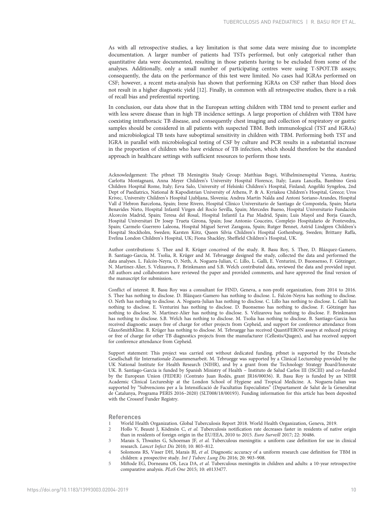<span id="page-9-0"></span>As with all retrospective studies, a key limitation is that some data were missing due to incomplete documentation. A larger number of patients had TSTs performed, but only categorical rather than quantitative data were documented, resulting in those patients having to be excluded from some of the analyses. Additionally, only a small number of participating centres were using T-SPOT.TB assays; consequently, the data on the performance of this test were limited. No cases had IGRAs performed on CSF; however, a recent meta-analysis has shown that performing IGRAs on CSF rather than blood does not result in a higher diagnostic yield [[12](#page-10-0)]. Finally, in common with all retrospective studies, there is a risk of recall bias and preferential reporting.

In conclusion, our data show that in the European setting children with TBM tend to present earlier and with less severe disease than in high TB incidence settings. A large proportion of children with TBM have coexisting intrathoracic TB disease, and consequently chest imaging and collection of respiratory or gastric samples should be considered in all patients with suspected TBM. Both immunological (TST and IGRAs) and microbiological TB tests have suboptimal sensitivity in children with TBM. Performing both TST and IGRA in parallel with microbiological testing of CSF by culture and PCR results in a substantial increase in the proportion of children who have evidence of TB infection, which should therefore be the standard approach in healthcare settings with sufficient resources to perform those tests.

Acknowledgement: The ptbnet TB Meningitis Study Group: Matthias Bogyi, Wilhelminenspital Vienna, Austria; Carlotta Montagnani, Anna Meyer Children's University Hospital Florence, Italy; Laura Lancella, Bambino Gesù Children Hospital Rome, Italy; Eeva Salo, University of Helsinki Children's Hospital, Finland; Angeliki Syngelou, 2nd Dept of Paediatrics, National & Kapodistrian University of Athens, P. & A. Kyriakou Children's Hospital, Greece; Uros Krivec, University Children's Hospital Ljubljana, Slovenia; Andrea Martín Nalda and Antoni Soriano-Arandes, Hospital Vall d´Hebron Barcelona, Spain; Irene Rivero, Hospital Clínico Universitario de Santiago de Compostela, Spain; Marta Benavides Nieto, Hospital Infantil Virgen del Rocío Sevilla, Spain; Mercedes Bueno, Hospital Universitario Fundación Alcorcón Madrid, Spain; Teresa del Rosal, Hospital Infantil La Paz Madrid, Spain; Luis Mayol and Borja Guarch, Hospital Universitari Dr Josep Trueta Girona, Spain; Jose Antonio Couceiro, Complejo Hospitalario de Pontevedra, Spain; Carmelo Guerrero Laleona, Hospital Miguel Servet Zaragoza, Spain; Rutger Bennet, Astrid Lindgren Children's Hospital Stockholm, Sweden; Karsten Kötz, Queen Silvia Children's Hospital Gothenburg, Sweden; Brittany Raffa, Evelina London Children's Hospital, UK; Fiona Shackley, Sheffield Children's Hospital, UK.

Author contributions: S. Thee and R. Krüger conceived of the study. R. Basu Roy, S. Thee, D. Blázquez-Gamero, B. Santiago-Garcia, M. Tsolia, R. Krüger and M. Tebruegge designed the study, collected the data and performed the data analyses. L. Falcón-Neyra, O. Neth, A. Noguera-Julian, C. Lillo, L. Galli, E. Venturini, D. Buonsenso, F. Götzinger, N. Martinez-Alier, S. Velizarova, F. Brinkmann and S.B. Welch contributed data, reviewed the data and provided input. All authors and collaborators have reviewed the paper and provided comments, and have approved the final version of the manuscript for submission.

Conflict of interest: R. Basu Roy was a consultant for FIND, Geneva, a non-profit organization, from 2014 to 2016. S. Thee has nothing to disclose. D. Blázquez-Gamero has nothing to disclose. L. Falcón-Neyra has nothing to disclose. O. Neth has nothing to disclose. A. Noguera-Julian has nothing to disclose. C. Lillo has nothing to disclose. L. Galli has nothing to disclose. E. Venturini has nothing to disclose. D. Buonsenso has nothing to disclose. F. Götzinger has nothing to disclose. N. Martinez-Alier has nothing to disclose. S. Velizarova has nothing to disclose. F. Brinkmann has nothing to disclose. S.B. Welch has nothing to disclose. M. Tsolia has nothing to disclose. B. Santiago-Garcia has received diagnostic assays free of charge for other projects from Cepheid, and support for conference attendance from GlaxoSmithKline. R. Krüger has nothing to disclose. M. Tebruegge has received QuantiFERON assays at reduced pricing or free of charge for other TB diagnostics projects from the manufacturer (Cellestis/Qiagen), and has received support for conference attendance from Cepheid.

Support statement: This project was carried out without dedicated funding. ptbnet is supported by the Deutsche Gesellschaft für Internationale Zusammenarbeit. M. Tebruegge was supported by a Clinical Lectureship provided by the UK National Institute for Health Research (NIHR), and by a grant from the Technology Strategy Board/Innovate UK. B. Santiago-Garcia is funded by Spanish Ministry of Health – Instituto de Salud Carlos III (ISCIII) and co-funded by the European Union (FEDER) (Contrato Juan Rodés, grant JR16/00036). R. Basu Roy is funded by an NIHR Academic Clinical Lectureship at the London School of Hygiene and Tropical Medicine. A. Noguera-Julian was supported by "Subvencions per a la Intensificació de Facultatius Especialistes" (Departament de Salut de la Generalitat de Catalunya, Programa PERIS 2016–2020) (SLT008/18/00193). Funding information for this article has been deposited with the [Crossref Funder Registry](https://www.crossref.org/services/funder-registry/).

## References

- 1 World Health Organization. Global Tuberculosis Report 2018. World Health Organization, Geneva, 2019.
- 2 Hollo V, Beauté J, Ködmön C, et al. Tuberculosis notification rate decreases faster in residents of native origin than in residents of foreign origin in the EU/EEA, 2010 to 2015. Euro Surveill 2017; 22: 30486.
- 3 Marais S, Thwaites G, Schoeman JF, et al. Tuberculous meningitis: a uniform case definition for use in clinical research. Lancet Infect Dis 2010; 10: 803–812.
- 4 Solomons RS, Visser DH, Marais BJ, et al. Diagnostic accuracy of a uniform research case definition for TBM in children: a prospective study. Int J Tuberc Lung Dis 2016; 20: 903–908.
- 5 Miftode EG, Dorneanu OS, Leca DA, et al. Tuberculous meningitis in children and adults: a 10-year retrospective comparative analysis. PLoS One 2015; 10: e0133477.